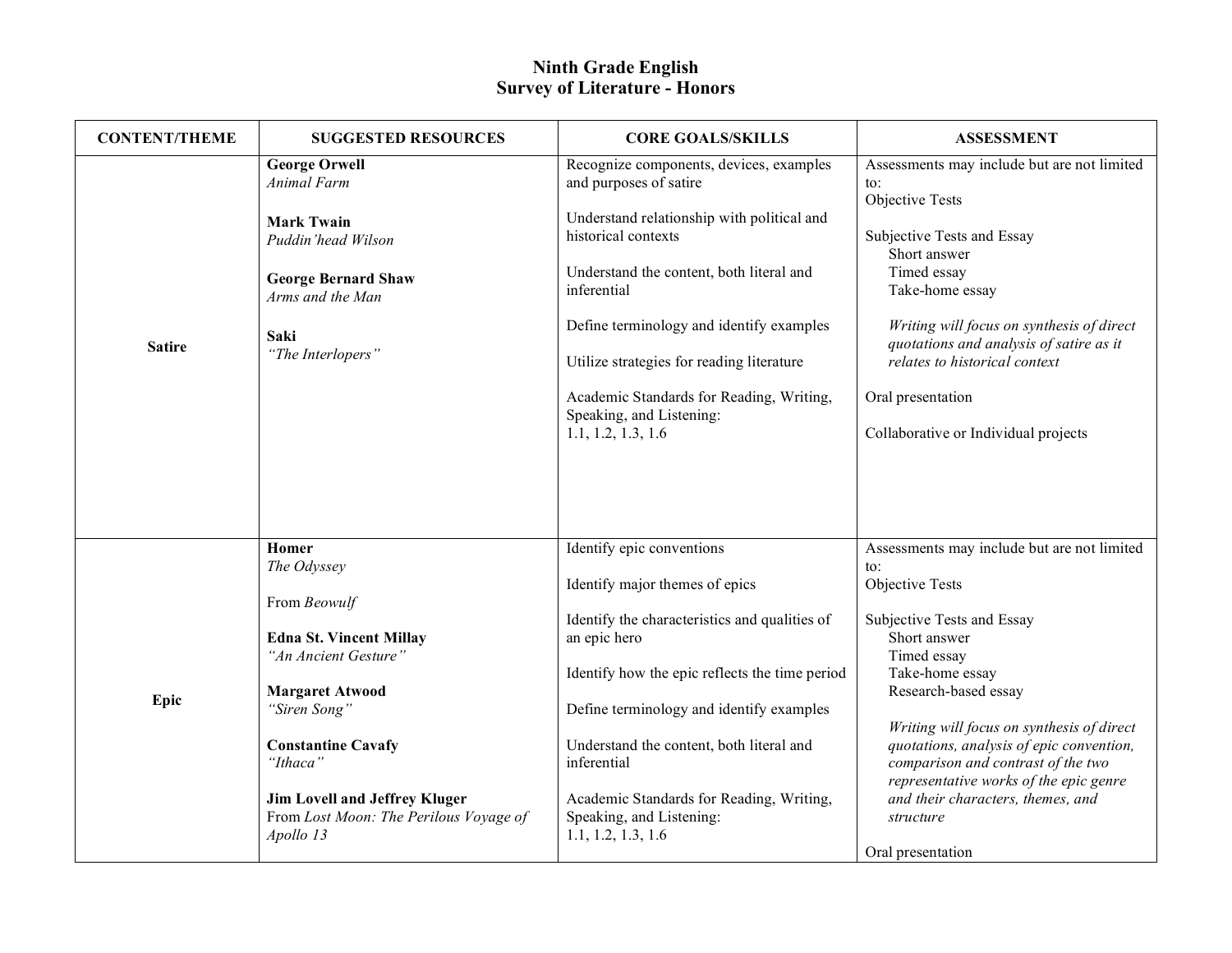| <b>CONTENT/THEME</b> | <b>SUGGESTED RESOURCES</b>                                                                                                                                                                                                                                                       | <b>CORE GOALS/SKILLS</b>                                                                                                                                                                                                                                                                                                                                                                 | <b>ASSESSMENT</b>                                                                                                                                                                                                                                                                                                                                                                                                             |
|----------------------|----------------------------------------------------------------------------------------------------------------------------------------------------------------------------------------------------------------------------------------------------------------------------------|------------------------------------------------------------------------------------------------------------------------------------------------------------------------------------------------------------------------------------------------------------------------------------------------------------------------------------------------------------------------------------------|-------------------------------------------------------------------------------------------------------------------------------------------------------------------------------------------------------------------------------------------------------------------------------------------------------------------------------------------------------------------------------------------------------------------------------|
| <b>Satire</b>        | <b>George Orwell</b><br><b>Animal Farm</b><br><b>Mark Twain</b><br>Puddin'head Wilson<br><b>George Bernard Shaw</b><br>Arms and the Man<br>Saki<br>"The Interlopers"                                                                                                             | Recognize components, devices, examples<br>and purposes of satire<br>Understand relationship with political and<br>historical contexts<br>Understand the content, both literal and<br>inferential<br>Define terminology and identify examples<br>Utilize strategies for reading literature<br>Academic Standards for Reading, Writing,<br>Speaking, and Listening:<br>1.1, 1.2, 1.3, 1.6 | Assessments may include but are not limited<br>$\mathfrak{t}$ .<br>Objective Tests<br>Subjective Tests and Essay<br>Short answer<br>Timed essay<br>Take-home essay<br>Writing will focus on synthesis of direct<br>quotations and analysis of satire as it<br>relates to historical context<br>Oral presentation<br>Collaborative or Individual projects                                                                      |
| Epic                 | Homer<br>The Odyssey<br>From Beowulf<br><b>Edna St. Vincent Millay</b><br>"An Ancient Gesture"<br><b>Margaret Atwood</b><br>"Siren Song"<br><b>Constantine Cavafy</b><br>"Ithaca"<br><b>Jim Lovell and Jeffrey Kluger</b><br>From Lost Moon: The Perilous Voyage of<br>Apollo 13 | Identify epic conventions<br>Identify major themes of epics<br>Identify the characteristics and qualities of<br>an epic hero<br>Identify how the epic reflects the time period<br>Define terminology and identify examples<br>Understand the content, both literal and<br>inferential<br>Academic Standards for Reading, Writing,<br>Speaking, and Listening:<br>1.1, 1.2, 1.3, 1.6      | Assessments may include but are not limited<br>to:<br>Objective Tests<br>Subjective Tests and Essay<br>Short answer<br>Timed essay<br>Take-home essay<br>Research-based essay<br>Writing will focus on synthesis of direct<br>quotations, analysis of epic convention,<br>comparison and contrast of the two<br>representative works of the epic genre<br>and their characters, themes, and<br>structure<br>Oral presentation |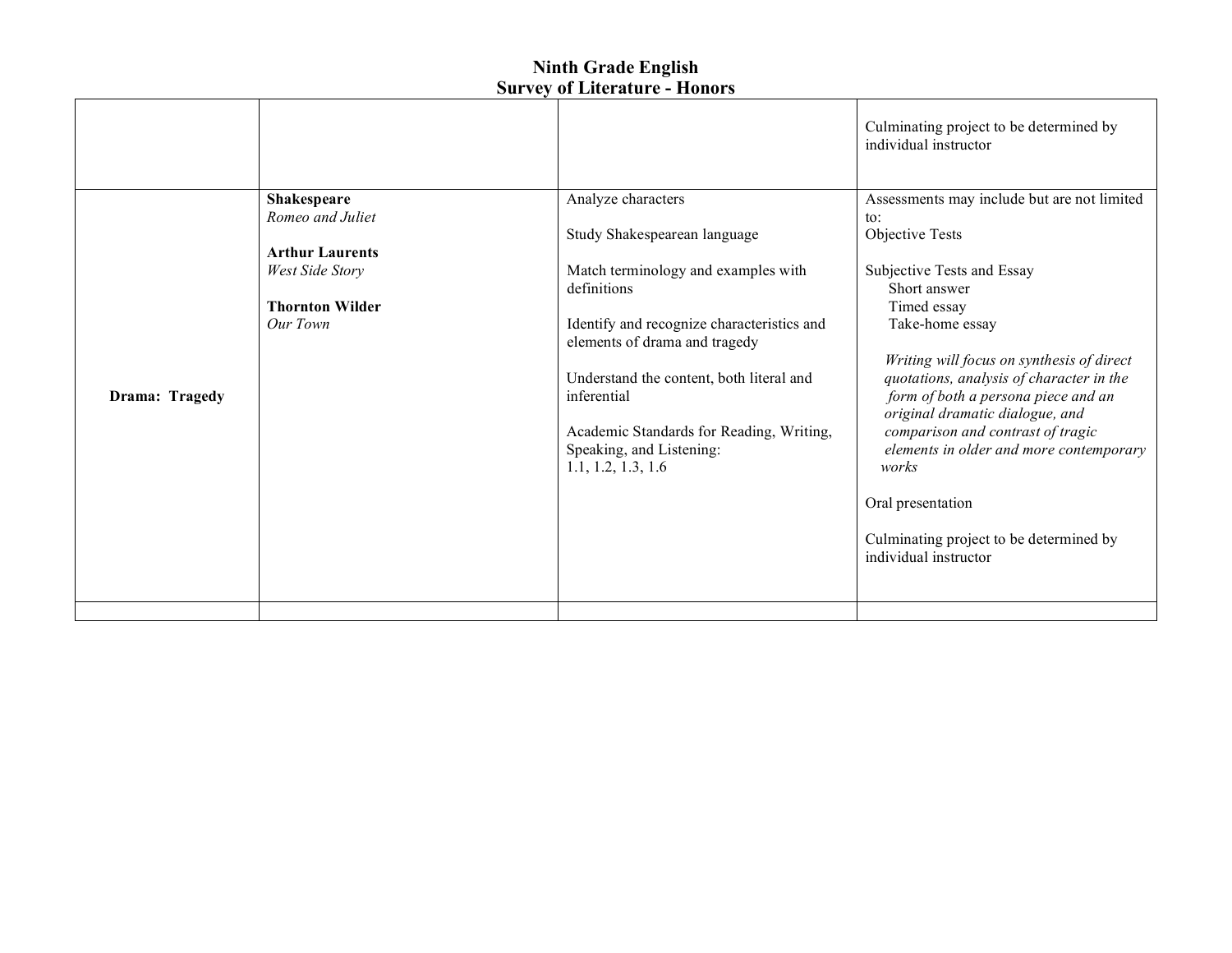|                |                        |                                                                                                                                                       | Culminating project to be determined by<br>individual instructor                                                                                                                                                                                                                                                                                  |
|----------------|------------------------|-------------------------------------------------------------------------------------------------------------------------------------------------------|---------------------------------------------------------------------------------------------------------------------------------------------------------------------------------------------------------------------------------------------------------------------------------------------------------------------------------------------------|
|                | <b>Shakespeare</b>     | Analyze characters                                                                                                                                    | Assessments may include but are not limited                                                                                                                                                                                                                                                                                                       |
|                | Romeo and Juliet       | Study Shakespearean language                                                                                                                          | to:<br>Objective Tests                                                                                                                                                                                                                                                                                                                            |
|                | <b>Arthur Laurents</b> |                                                                                                                                                       |                                                                                                                                                                                                                                                                                                                                                   |
|                | <b>West Side Story</b> | Match terminology and examples with<br>definitions                                                                                                    | Subjective Tests and Essay<br>Short answer                                                                                                                                                                                                                                                                                                        |
|                | <b>Thornton Wilder</b> |                                                                                                                                                       | Timed essay                                                                                                                                                                                                                                                                                                                                       |
|                | Our Town               | Identify and recognize characteristics and<br>elements of drama and tragedy                                                                           | Take-home essay                                                                                                                                                                                                                                                                                                                                   |
| Drama: Tragedy |                        | Understand the content, both literal and<br>inferential<br>Academic Standards for Reading, Writing,<br>Speaking, and Listening:<br>1.1, 1.2, 1.3, 1.6 | Writing will focus on synthesis of direct<br>quotations, analysis of character in the<br>form of both a persona piece and an<br>original dramatic dialogue, and<br>comparison and contrast of tragic<br>elements in older and more contemporary<br>works<br>Oral presentation<br>Culminating project to be determined by<br>individual instructor |
|                |                        |                                                                                                                                                       |                                                                                                                                                                                                                                                                                                                                                   |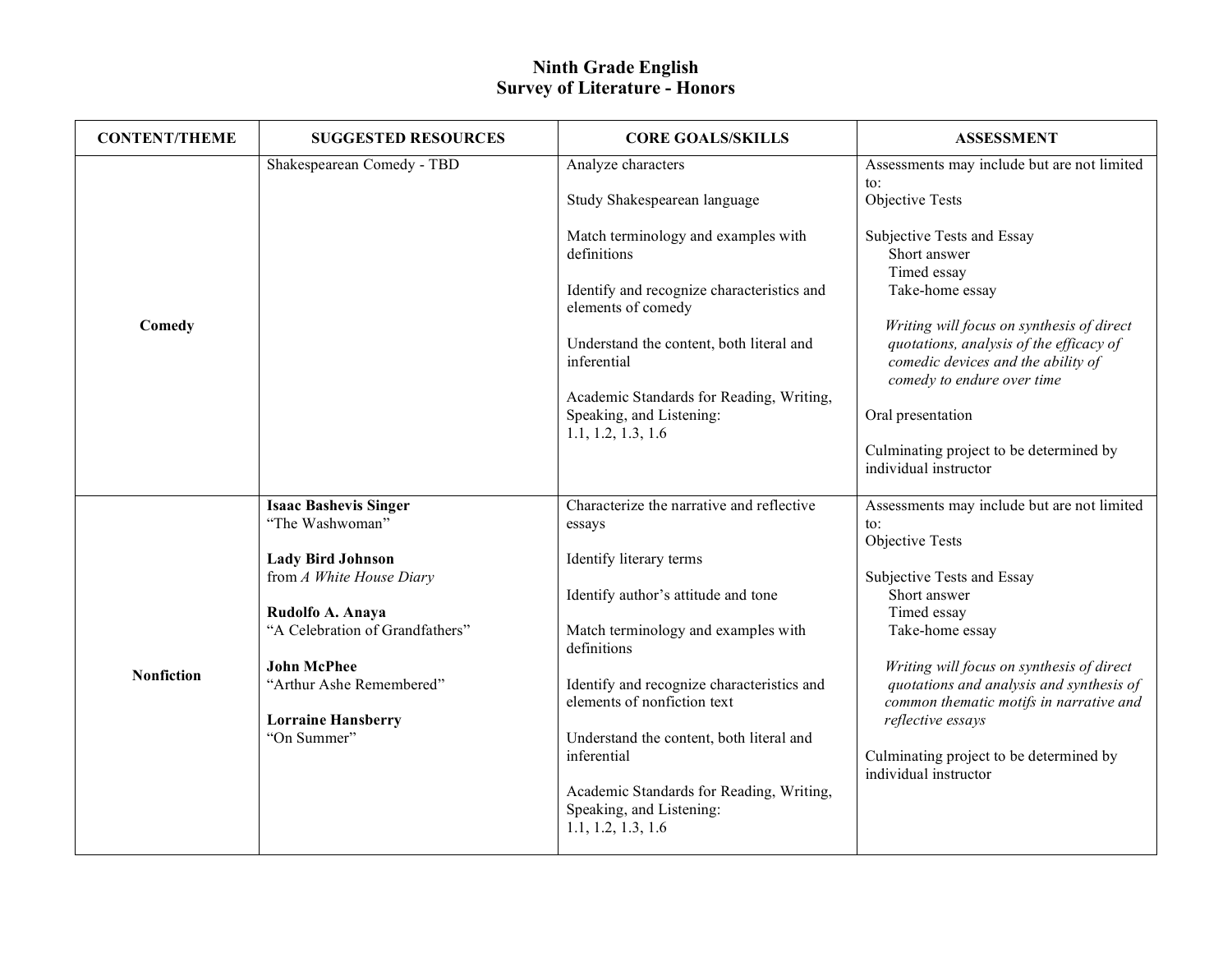| <b>CONTENT/THEME</b> | <b>SUGGESTED RESOURCES</b>                     | <b>CORE GOALS/SKILLS</b>                                                                   | <b>ASSESSMENT</b>                                                                                                          |
|----------------------|------------------------------------------------|--------------------------------------------------------------------------------------------|----------------------------------------------------------------------------------------------------------------------------|
|                      | Shakespearean Comedy - TBD                     | Analyze characters                                                                         | Assessments may include but are not limited                                                                                |
|                      |                                                | Study Shakespearean language                                                               | $\mathsf{to}$ :<br>Objective Tests                                                                                         |
|                      |                                                | Match terminology and examples with<br>definitions                                         | Subjective Tests and Essay<br>Short answer<br>Timed essay                                                                  |
|                      |                                                | Identify and recognize characteristics and<br>elements of comedy                           | Take-home essay                                                                                                            |
| Comedy               |                                                | Understand the content, both literal and<br>inferential                                    | Writing will focus on synthesis of direct<br>quotations, analysis of the efficacy of<br>comedic devices and the ability of |
|                      |                                                | Academic Standards for Reading, Writing,<br>Speaking, and Listening:<br>1.1, 1.2, 1.3, 1.6 | comedy to endure over time<br>Oral presentation                                                                            |
|                      |                                                |                                                                                            | Culminating project to be determined by<br>individual instructor                                                           |
|                      | <b>Isaac Bashevis Singer</b>                   | Characterize the narrative and reflective                                                  | Assessments may include but are not limited                                                                                |
|                      | "The Washwoman"                                | essays                                                                                     | to:<br>Objective Tests                                                                                                     |
|                      | <b>Lady Bird Johnson</b>                       | Identify literary terms                                                                    |                                                                                                                            |
|                      | from A White House Diary                       | Identify author's attitude and tone                                                        | Subjective Tests and Essay<br>Short answer                                                                                 |
|                      | Rudolfo A. Anaya                               |                                                                                            | Timed essay                                                                                                                |
| <b>Nonfiction</b>    | "A Celebration of Grandfathers"                | Match terminology and examples with<br>definitions                                         | Take-home essay                                                                                                            |
|                      | <b>John McPhee</b><br>"Arthur Ashe Remembered" | Identify and recognize characteristics and                                                 | Writing will focus on synthesis of direct<br>quotations and analysis and synthesis of                                      |
|                      |                                                | elements of nonfiction text                                                                | common thematic motifs in narrative and                                                                                    |
|                      | <b>Lorraine Hansberry</b>                      |                                                                                            | reflective essays                                                                                                          |
|                      | "On Summer"                                    | Understand the content, both literal and<br>inferential                                    | Culminating project to be determined by<br>individual instructor                                                           |
|                      |                                                | Academic Standards for Reading, Writing,<br>Speaking, and Listening:<br>1.1, 1.2, 1.3, 1.6 |                                                                                                                            |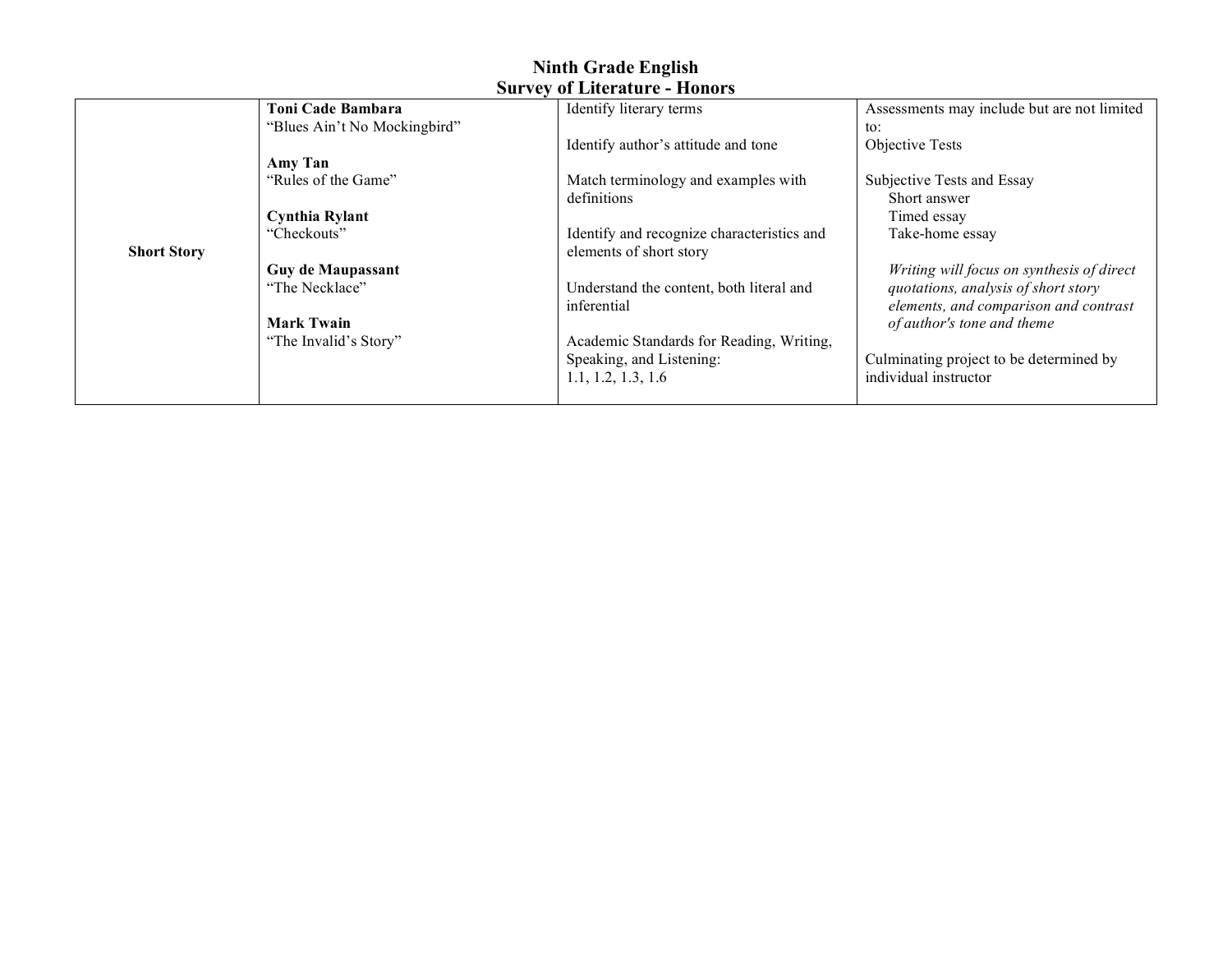|                    | Toni Cade Bambara            | Identify literary terms                    | Assessments may include but are not limited |
|--------------------|------------------------------|--------------------------------------------|---------------------------------------------|
|                    | "Blues Ain't No Mockingbird" |                                            | to:                                         |
|                    |                              | Identify author's attitude and tone        | Objective Tests                             |
|                    | Amy Tan                      |                                            |                                             |
|                    | "Rules of the Game"          | Match terminology and examples with        | Subjective Tests and Essay                  |
|                    |                              | definitions                                | Short answer                                |
|                    | <b>Cynthia Rylant</b>        |                                            | Timed essay                                 |
|                    | "Checkouts"                  | Identify and recognize characteristics and | Take-home essay                             |
| <b>Short Story</b> |                              | elements of short story                    |                                             |
|                    | <b>Guy de Maupassant</b>     |                                            | Writing will focus on synthesis of direct   |
|                    | "The Necklace"               | Understand the content, both literal and   | quotations, analysis of short story         |
|                    |                              | inferential                                | elements, and comparison and contrast       |
|                    | <b>Mark Twain</b>            |                                            | of author's tone and theme                  |
|                    | "The Invalid's Story"        | Academic Standards for Reading, Writing,   |                                             |
|                    |                              | Speaking, and Listening:                   | Culminating project to be determined by     |
|                    |                              | 1.1, 1.2, 1.3, 1.6                         | individual instructor                       |
|                    |                              |                                            |                                             |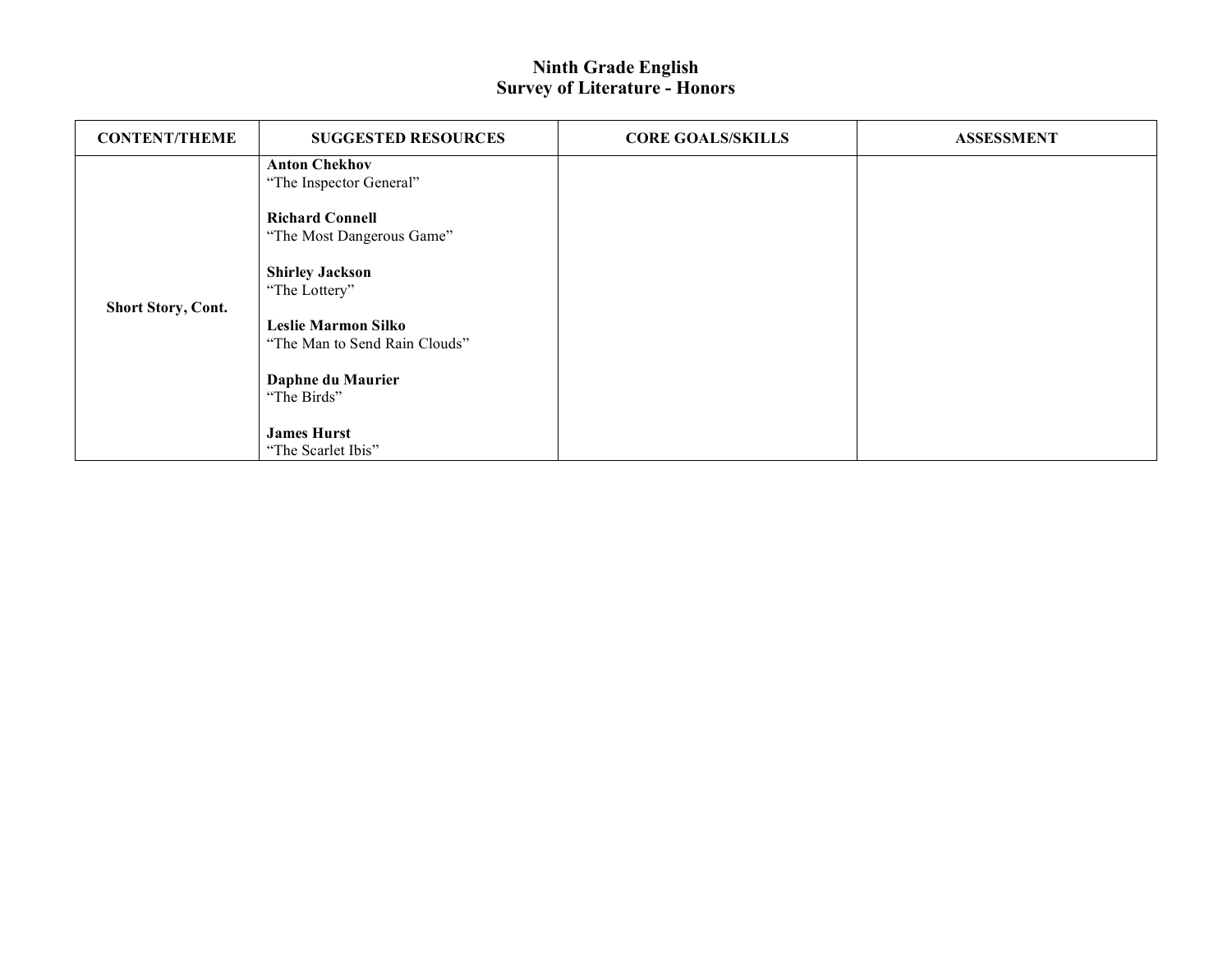| <b>CONTENT/THEME</b>      | <b>SUGGESTED RESOURCES</b>                                  | <b>CORE GOALS/SKILLS</b> | <b>ASSESSMENT</b> |
|---------------------------|-------------------------------------------------------------|--------------------------|-------------------|
| <b>Short Story, Cont.</b> | <b>Anton Chekhov</b><br>"The Inspector General"             |                          |                   |
|                           | <b>Richard Connell</b><br>"The Most Dangerous Game"         |                          |                   |
|                           | <b>Shirley Jackson</b><br>"The Lottery"                     |                          |                   |
|                           | <b>Leslie Marmon Silko</b><br>"The Man to Send Rain Clouds" |                          |                   |
|                           | Daphne du Maurier<br>"The Birds"                            |                          |                   |
|                           | <b>James Hurst</b><br>"The Scarlet Ibis"                    |                          |                   |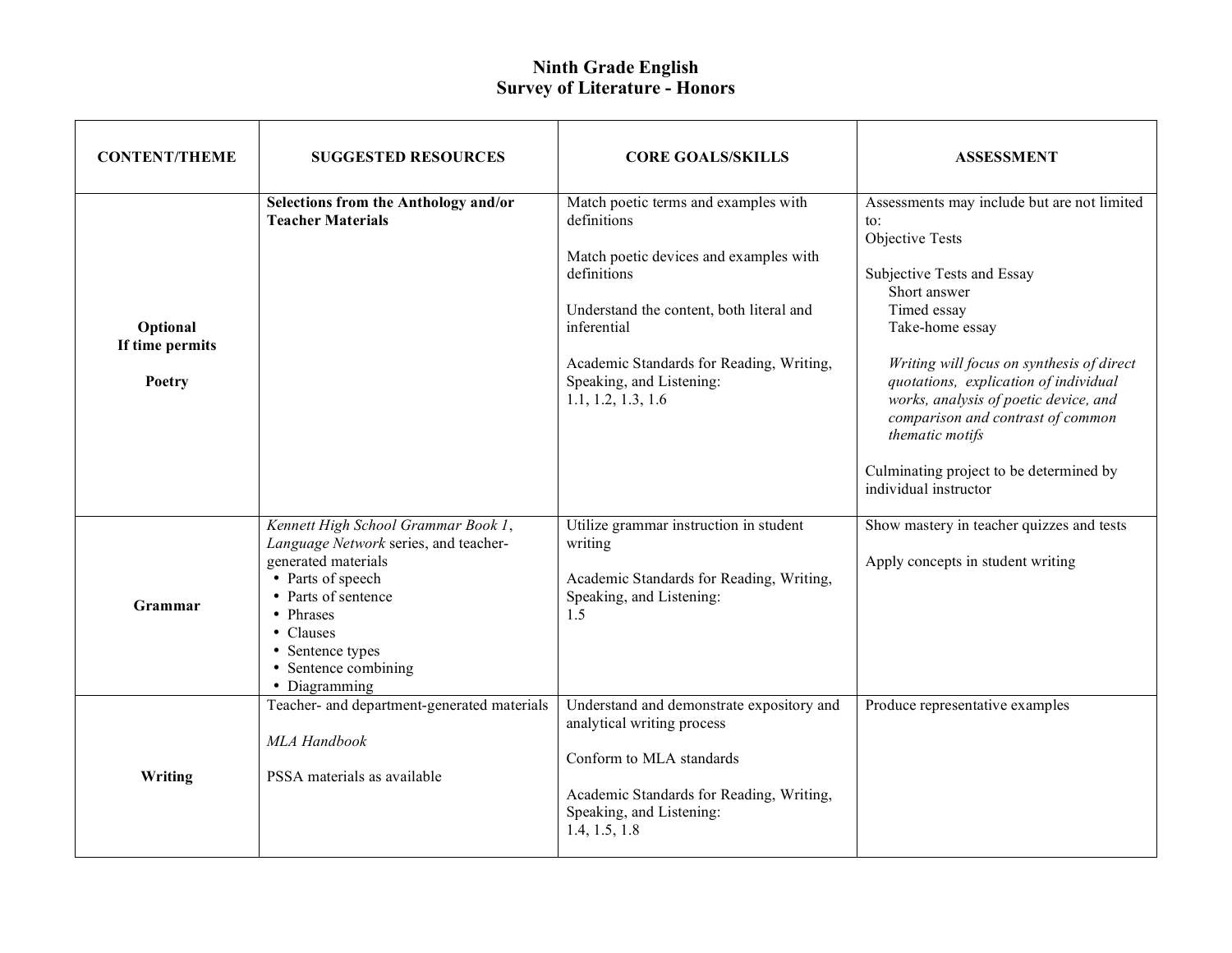| <b>CONTENT/THEME</b>                  | <b>SUGGESTED RESOURCES</b>                                                                                                                                                                                                             | <b>CORE GOALS/SKILLS</b>                                                                                                                                                                                                                                              | <b>ASSESSMENT</b>                                                                                                                                                                                                                                                                                                                                                                                                             |
|---------------------------------------|----------------------------------------------------------------------------------------------------------------------------------------------------------------------------------------------------------------------------------------|-----------------------------------------------------------------------------------------------------------------------------------------------------------------------------------------------------------------------------------------------------------------------|-------------------------------------------------------------------------------------------------------------------------------------------------------------------------------------------------------------------------------------------------------------------------------------------------------------------------------------------------------------------------------------------------------------------------------|
| Optional<br>If time permits<br>Poetry | Selections from the Anthology and/or<br><b>Teacher Materials</b>                                                                                                                                                                       | Match poetic terms and examples with<br>definitions<br>Match poetic devices and examples with<br>definitions<br>Understand the content, both literal and<br>inferential<br>Academic Standards for Reading, Writing,<br>Speaking, and Listening:<br>1.1, 1.2, 1.3, 1.6 | Assessments may include but are not limited<br>$\mathfrak{t}$ .<br>Objective Tests<br>Subjective Tests and Essay<br>Short answer<br>Timed essay<br>Take-home essay<br>Writing will focus on synthesis of direct<br>quotations, explication of individual<br>works, analysis of poetic device, and<br>comparison and contrast of common<br>thematic motifs<br>Culminating project to be determined by<br>individual instructor |
| Grammar                               | Kennett High School Grammar Book 1,<br>Language Network series, and teacher-<br>generated materials<br>• Parts of speech<br>• Parts of sentence<br>• Phrases<br>• Clauses<br>• Sentence types<br>• Sentence combining<br>• Diagramming | Utilize grammar instruction in student<br>writing<br>Academic Standards for Reading, Writing,<br>Speaking, and Listening:<br>1.5                                                                                                                                      | Show mastery in teacher quizzes and tests<br>Apply concepts in student writing                                                                                                                                                                                                                                                                                                                                                |
| Writing                               | Teacher- and department-generated materials<br>MLA Handbook<br>PSSA materials as available                                                                                                                                             | Understand and demonstrate expository and<br>analytical writing process<br>Conform to MLA standards<br>Academic Standards for Reading, Writing,<br>Speaking, and Listening:<br>1.4, 1.5, 1.8                                                                          | Produce representative examples                                                                                                                                                                                                                                                                                                                                                                                               |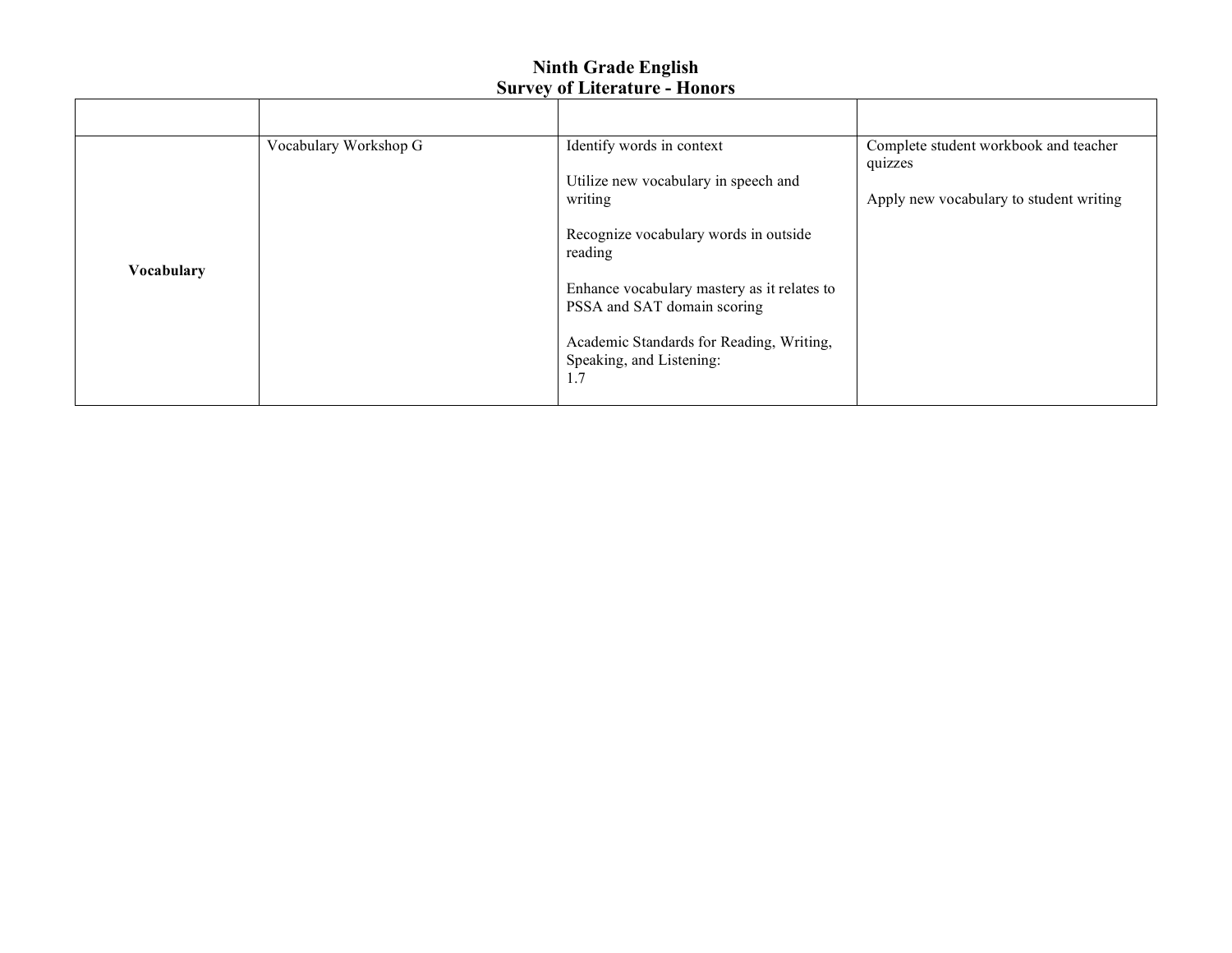| <b>Vocabulary</b> | Vocabulary Workshop G | Identify words in context<br>Utilize new vocabulary in speech and<br>writing<br>Recognize vocabulary words in outside<br>reading<br>Enhance vocabulary mastery as it relates to<br>PSSA and SAT domain scoring<br>Academic Standards for Reading, Writing,<br>Speaking, and Listening:<br>1.7 | Complete student workbook and teacher<br>quizzes<br>Apply new vocabulary to student writing |
|-------------------|-----------------------|-----------------------------------------------------------------------------------------------------------------------------------------------------------------------------------------------------------------------------------------------------------------------------------------------|---------------------------------------------------------------------------------------------|